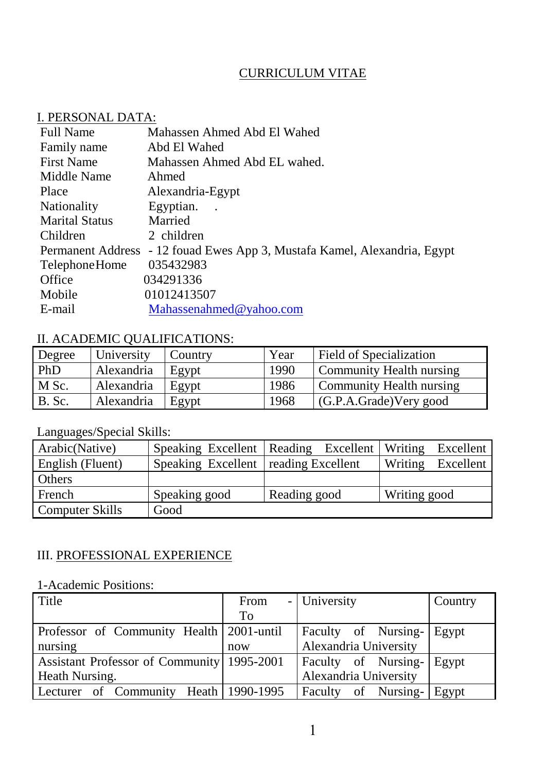## CURRICULUM VITAE

#### I. PERSONAL DATA:

| <b>Full Name</b>         | Mahassen Ahmed Abd El Wahed                             |
|--------------------------|---------------------------------------------------------|
| Family name              | Abd El Wahed                                            |
| <b>First Name</b>        | Mahassen Ahmed Abd EL wahed.                            |
| Middle Name              | Ahmed                                                   |
| Place                    | Alexandria-Egypt                                        |
| <b>Nationality</b>       | Egyptian.<br>$\sim$                                     |
| <b>Marital Status</b>    | Married                                                 |
| Children                 | 2 children                                              |
| <b>Permanent Address</b> | - 12 fouad Ewes App 3, Mustafa Kamel, Alexandria, Egypt |
| Telephone Home           | 035432983                                               |
| Office                   | 034291336                                               |
| Mobile                   | 01012413507                                             |
| E-mail                   | Mahassenahmed@yahoo.com                                 |
|                          |                                                         |

# II. ACADEMIC QUALIFICATIONS:

| Degree        | University | Country | Year | <b>Field of Specialization</b> |
|---------------|------------|---------|------|--------------------------------|
| PhD           | Alexandria | Egypt   | 1990 | Community Health nursing       |
| M Sc.         | Alexandria | Egypt   | 1986 | Community Health nursing       |
| <b>B.</b> Sc. | Alexandria | Egypt   | 1968 | (G.P.A.Grade)Very good         |

# Languages/Special Skills:

| Arabic(Native)         |                                        | Speaking Excellent   Reading Excellent   Writing Excellent |                   |
|------------------------|----------------------------------------|------------------------------------------------------------|-------------------|
| English (Fluent)       | Speaking Excellent   reading Excellent |                                                            | Writing Excellent |
| Others                 |                                        |                                                            |                   |
| French                 | Speaking good                          | Reading good                                               | Writing good      |
| <b>Computer Skills</b> | Good                                   |                                                            |                   |

## III. PROFESSIONAL EXPERIENCE

## 1-Academic Positions:

| Title                                        | From      | - University                | Country |
|----------------------------------------------|-----------|-----------------------------|---------|
|                                              | <b>To</b> |                             |         |
| Professor of Community Health   2001-until   |           | Faculty of Nursing- Egypt   |         |
| nursing                                      | now       | Alexandria University       |         |
| Assistant Professor of Community   1995-2001 |           | <b>Faculty</b> of Nursing-  | Egypt   |
| <b>Heath Nursing.</b>                        |           | Alexandria University       |         |
| Lecturer of Community Heath 1990-1995        |           | Faculty of Nursing-   Egypt |         |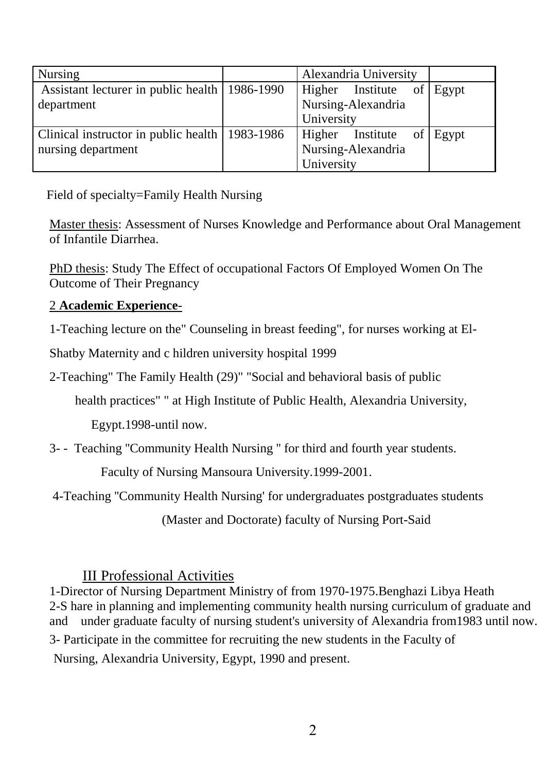| <b>Nursing</b>                                   | Alexandria University     |  |
|--------------------------------------------------|---------------------------|--|
| Assistant lecturer in public health   1986-1990  | Higher Institute of Egypt |  |
| department                                       | Nursing-Alexandria        |  |
|                                                  | University                |  |
| Clinical instructor in public health   1983-1986 | Higher Institute of Egypt |  |
| nursing department                               | Nursing-Alexandria        |  |
|                                                  | University                |  |

Field of specialty=Family Health Nursing

Master thesis: Assessment of Nurses Knowledge and Performance about Oral Management of Infantile Diarrhea.

PhD thesis: Study The Effect of occupational Factors Of Employed Women On The Outcome of Their Pregnancy

#### 2 **Academic Experience**-

1-Teaching lecture on the" Counseling in breast feeding", for nurses working at El-

Shatby Maternity and c hildren university hospital 1999

2-Teaching" The Family Health (29)" "Social and behavioral basis of public

health practices" " at High Institute of Public Health, Alexandria University,

Egypt.1998-until now.

3- - Teaching ''Community Health Nursing '' for third and fourth year students.

Faculty of Nursing Mansoura University.1999-2001.

4-Teaching ''Community Health Nursing' for undergraduates postgraduates students

(Master and Doctorate) faculty of Nursing Port-Said

## III Professional Activities

1-Director of Nursing Department Ministry of from 1970-1975.Benghazi Libya Heath 2-S hare in planning and implementing community health nursing curriculum of graduate and and under graduate faculty of nursing student's university of Alexandria from1983 until now. 3- Participate in the committee for recruiting the new students in the Faculty of Nursing, Alexandria University, Egypt, 1990 and present.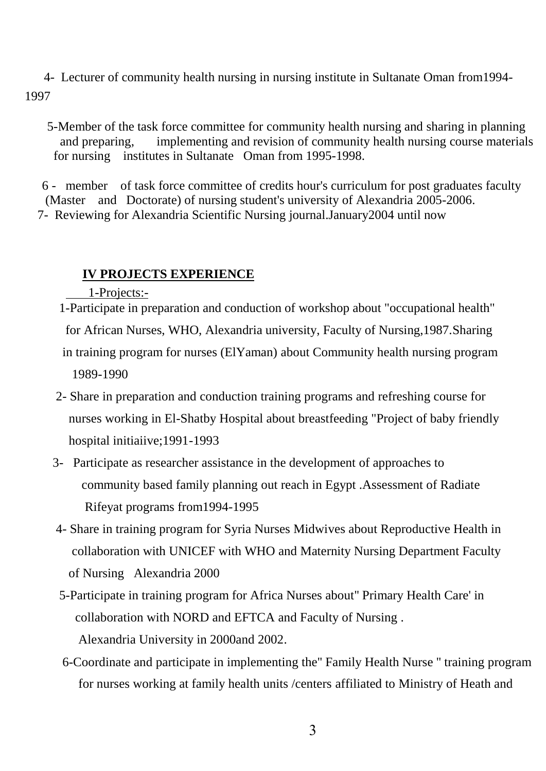4- Lecturer of community health nursing in nursing institute in Sultanate Oman from1994- 1997

 5-Member of the task force committee for community health nursing and sharing in planning and preparing, implementing and revision of community health nursing course materials for nursing institutes in Sultanate Oman from 1995-1998.

 6 - member of task force committee of credits hour's curriculum for post graduates faculty (Master and Doctorate) of nursing student's university of Alexandria 2005-2006. 7- Reviewing for Alexandria Scientific Nursing journal.January2004 until now

#### **IV PROJECTS EXPERIENCE**

1-Projects:-

 1-Participate in preparation and conduction of workshop about "occupational health" for African Nurses, WHO, Alexandria university, Faculty of Nursing,1987.Sharing in training program for nurses (ElYaman) about Community health nursing program 1989-1990

- 2- Share in preparation and conduction training programs and refreshing course for nurses working in El-Shatby Hospital about breastfeeding "Project of baby friendly hospital initiaiive;1991-1993
- 3- Participate as researcher assistance in the development of approaches to community based family planning out reach in Egypt .Assessment of Radiate Rifeyat programs from1994-1995
- 4- Share in training program for Syria Nurses Midwives about Reproductive Health in collaboration with UNICEF with WHO and Maternity Nursing Department Faculty of Nursing Alexandria 2000
- 5-Participate in training program for Africa Nurses about'' Primary Health Care' in collaboration with NORD and EFTCA and Faculty of Nursing . Alexandria University in 2000and 2002.
- 6-Coordinate and participate in implementing the'' Family Health Nurse '' training program for nurses working at family health units /centers affiliated to Ministry of Heath and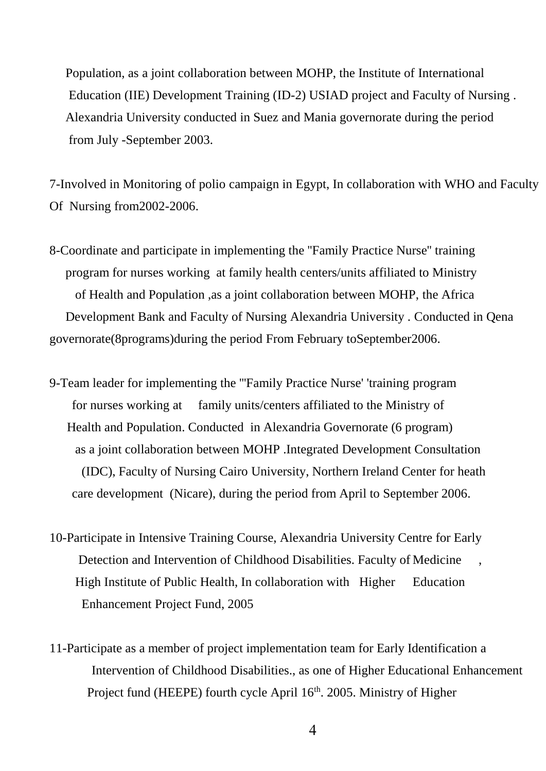Population, as a joint collaboration between MOHP, the Institute of International Education (IIE) Development Training (ID-2) USIAD project and Faculty of Nursing . Alexandria University conducted in Suez and Mania governorate during the period from July -September 2003.

7-Involved in Monitoring of polio campaign in Egypt, In collaboration with WHO and Faculty Of Nursing from2002-2006.

- 8-Coordinate and participate in implementing the ''Family Practice Nurse'' training program for nurses working at family health centers/units affiliated to Ministry of Health and Population ,as a joint collaboration between MOHP, the Africa Development Bank and Faculty of Nursing Alexandria University . Conducted in Qena governorate(8programs)during the period From February toSeptember2006.
- 9-Team leader for implementing the '''Family Practice Nurse' 'training program for nurses working at family units/centers affiliated to the Ministry of Health and Population. Conducted in Alexandria Governorate (6 program) as a joint collaboration between MOHP .Integrated Development Consultation (IDC), Faculty of Nursing Cairo University, Northern Ireland Center for heath care development (Nicare), during the period from April to September 2006.
- 10-Participate in Intensive Training Course, Alexandria University Centre for Early Detection and Intervention of Childhood Disabilities. Faculty of Medicine High Institute of Public Health, In collaboration with Higher Education Enhancement Project Fund, 2005
- 11-Participate as a member of project implementation team for Early Identification a Intervention of Childhood Disabilities., as one of Higher Educational Enhancement Project fund (HEEPE) fourth cycle April 16<sup>th</sup>. 2005. Ministry of Higher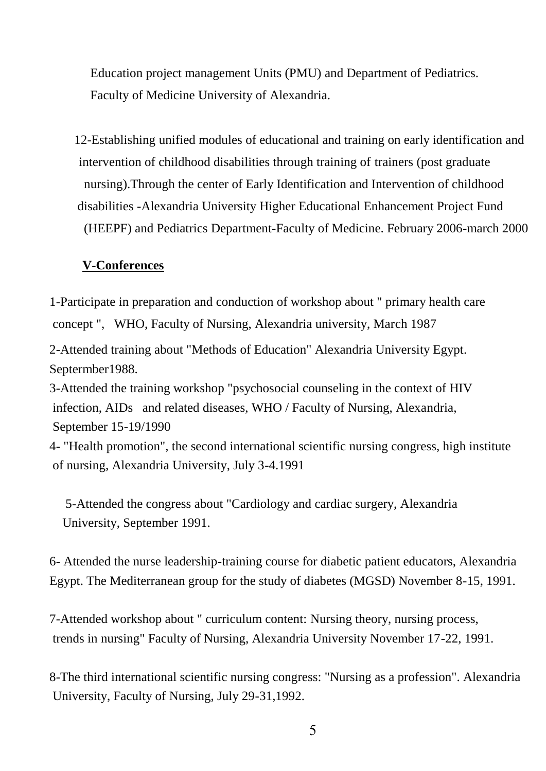Education project management Units (PMU) and Department of Pediatrics. Faculty of Medicine University of Alexandria.

12-Establishing unified modules of educational and training on early identification and intervention of childhood disabilities through training of trainers (post graduate nursing).Through the center of Early Identification and Intervention of childhood disabilities -Alexandria University Higher Educational Enhancement Project Fund (HEEPF) and Pediatrics Department-Faculty of Medicine. February 2006-march 2000

#### **V-Conferences**

1-Participate in preparation and conduction of workshop about " primary health care concept ", WHO, Faculty of Nursing, Alexandria university, March 1987

2-Attended training about "Methods of Education" Alexandria University Egypt. Septermber1988.

3-Attended the training workshop "psychosocial counseling in the context of HIV infection, AIDs and related diseases, WHO / Faculty of Nursing, Alexandria, September 15-19/1990

4- "Health promotion", the second international scientific nursing congress, high institute of nursing, Alexandria University, July 3-4.1991

 5-Attended the congress about "Cardiology and cardiac surgery, Alexandria University, September 1991.

6- Attended the nurse leadership-training course for diabetic patient educators, Alexandria Egypt. The Mediterranean group for the study of diabetes (MGSD) November 8-15, 1991.

7-Attended workshop about " curriculum content: Nursing theory, nursing process, trends in nursing" Faculty of Nursing, Alexandria University November 17-22, 1991.

8-The third international scientific nursing congress: "Nursing as a profession". Alexandria University, Faculty of Nursing, July 29-31,1992.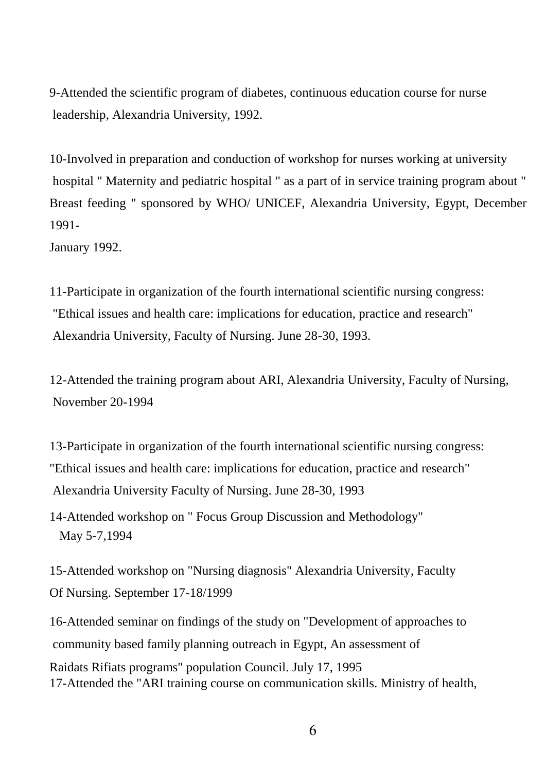9-Attended the scientific program of diabetes, continuous education course for nurse leadership, Alexandria University, 1992.

10-Involved in preparation and conduction of workshop for nurses working at university hospital " Maternity and pediatric hospital " as a part of in service training program about " Breast feeding " sponsored by WHO/ UNICEF, Alexandria University, Egypt, December 1991-

January 1992.

11-Participate in organization of the fourth international scientific nursing congress: "Ethical issues and health care: implications for education, practice and research" Alexandria University, Faculty of Nursing. June 28-30, 1993.

12-Attended the training program about ARI, Alexandria University, Faculty of Nursing, November 20-1994

13-Participate in organization of the fourth international scientific nursing congress: "Ethical issues and health care: implications for education, practice and research" Alexandria University Faculty of Nursing. June 28-30, 1993

14-Attended workshop on " Focus Group Discussion and Methodology" May 5-7,1994

15-Attended workshop on "Nursing diagnosis" Alexandria University, Faculty Of Nursing. September 17-18/1999

16-Attended seminar on findings of the study on "Development of approaches to community based family planning outreach in Egypt, An assessment of Raidats Rifiats programs" population Council. July 17, 1995 17-Attended the "ARI training course on communication skills. Ministry of health,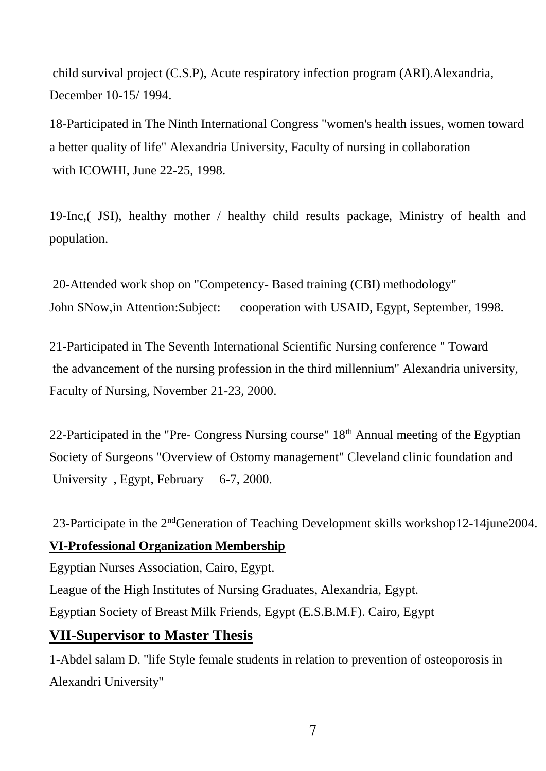child survival project (C.S.P), Acute respiratory infection program (ARI).Alexandria, December 10-15/ 1994.

18-Participated in The Ninth International Congress "women's health issues, women toward a better quality of life" Alexandria University, Faculty of nursing in collaboration with ICOWHI, June 22-25, 1998.

19-Inc,( JSI), healthy mother / healthy child results package, Ministry of health and population.

20-Attended work shop on "Competency- Based training (CBI) methodology" John SNow,in Attention:Subject: cooperation with USAID, Egypt, September, 1998.

21-Participated in The Seventh International Scientific Nursing conference " Toward the advancement of the nursing profession in the third millennium" Alexandria university, Faculty of Nursing, November 21-23, 2000.

22-Participated in the "Pre- Congress Nursing course"  $18<sup>th</sup>$  Annual meeting of the Egyptian Society of Surgeons "Overview of Ostomy management" Cleveland clinic foundation and University, Egypt, February 6-7, 2000.

23-Participate in the 2ndGeneration of Teaching Development skills workshop12-14june2004. **VI-Professional Organization Membership**

Egyptian Nurses Association, Cairo, Egypt.

League of the High Institutes of Nursing Graduates, Alexandria, Egypt.

Egyptian Society of Breast Milk Friends, Egypt (E.S.B.M.F). Cairo, Egypt

## **VII-Supervisor to Master Thesis**

1-Abdel salam D. ''life Style female students in relation to prevention of osteoporosis in Alexandri University''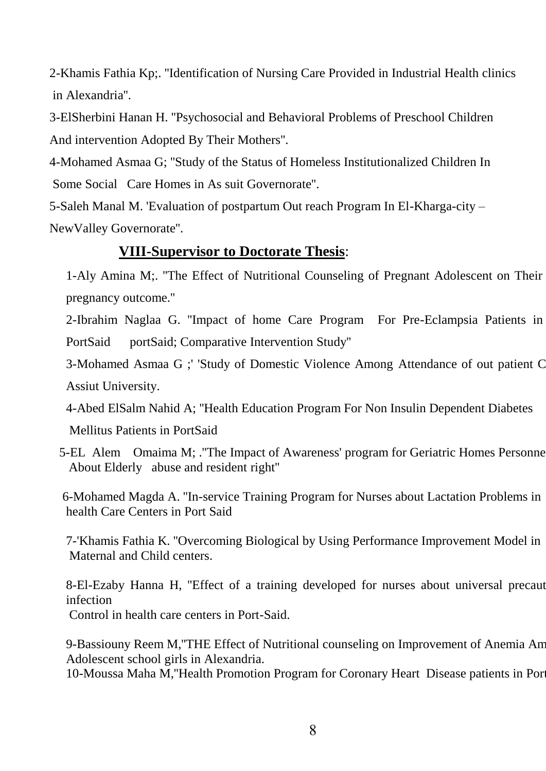2-Khamis Fathia Kp;. ''Identification of Nursing Care Provided in Industrial Health clinics in Alexandria''.

3-ElSherbini Hanan H. ''Psychosocial and Behavioral Problems of Preschool Children And intervention Adopted By Their Mothers''.

4-Mohamed Asmaa G; ''Study of the Status of Homeless Institutionalized Children In Some Social Care Homes in As suit Governorate''.

5-Saleh Manal M. 'Evaluation of postpartum Out reach Program In El-Kharga-city – NewValley Governorate''.

## **VIII-Supervisor to Doctorate Thesis**:

1-Aly Amina M;. ''The Effect of Nutritional Counseling of Pregnant Adolescent on Their pregnancy outcome.''

2-Ibrahim Naglaa G. ''Impact of home Care Program For Pre-Eclampsia Patients in PortSaid portSaid; Comparative Intervention Study''

3-Mohamed Asmaa G ; 'Study of Domestic Violence Among Attendance of out patient C Assiut University.

4-Abed ElSalm Nahid A; ''Health Education Program For Non Insulin Dependent Diabetes Mellitus Patients in PortSaid

 5-EL Alem Omaima M; .''The Impact of Awareness' program for Geriatric Homes Personnel About Elderly abuse and resident right''

 6-Mohamed Magda A. ''In-service Training Program for Nurses about Lactation Problems in health Care Centers in Port Said

7-'Khamis Fathia K. ''Overcoming Biological by Using Performance Improvement Model in Maternal and Child centers.

8-El-Ezaby Hanna H, "Effect of a training developed for nurses about universal precaut infection

Control in health care centers in Port-Said.

9-Bassiouny Reem M, "THE Effect of Nutritional counseling on Improvement of Anemia Am Adolescent school girls in Alexandria.

10-Moussa Maha M, "Health Promotion Program for Coronary Heart Disease patients in Por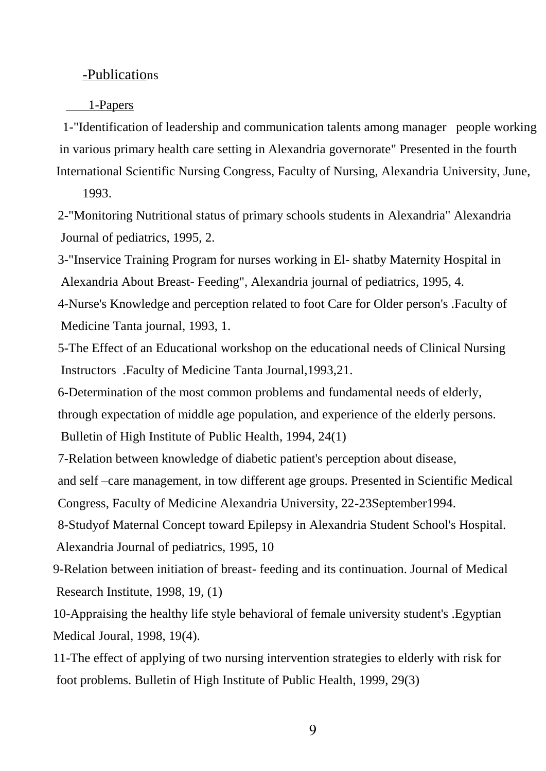#### -Publications

#### 1-Papers

 1-"Identification of leadership and communication talents among manager people working in various primary health care setting in Alexandria governorate" Presented in the fourth International Scientific Nursing Congress, Faculty of Nursing, Alexandria University, June,

1993.

2-"Monitoring Nutritional status of primary schools students in Alexandria" Alexandria Journal of pediatrics, 1995, 2.

3-"Inservice Training Program for nurses working in El- shatby Maternity Hospital in Alexandria About Breast- Feeding", Alexandria journal of pediatrics, 1995, 4.

4-Nurse's Knowledge and perception related to foot Care for Older person's .Faculty of Medicine Tanta journal, 1993, 1.

5-The Effect of an Educational workshop on the educational needs of Clinical Nursing Instructors .Faculty of Medicine Tanta Journal,1993,21.

6-Determination of the most common problems and fundamental needs of elderly,

through expectation of middle age population, and experience of the elderly persons.

Bulletin of High Institute of Public Health, 1994, 24(1)

7-Relation between knowledge of diabetic patient's perception about disease,

and self –care management, in tow different age groups. Presented in Scientific Medical Congress, Faculty of Medicine Alexandria University, 22-23September1994.

8-Studyof Maternal Concept toward Epilepsy in Alexandria Student School's Hospital. Alexandria Journal of pediatrics, 1995, 10

9-Relation between initiation of breast- feeding and its continuation. Journal of Medical Research Institute, 1998, 19, (1)

10-Appraising the healthy life style behavioral of female university student's .Egyptian Medical Joural, 1998, 19(4).

11-The effect of applying of two nursing intervention strategies to elderly with risk for foot problems. Bulletin of High Institute of Public Health, 1999, 29(3)